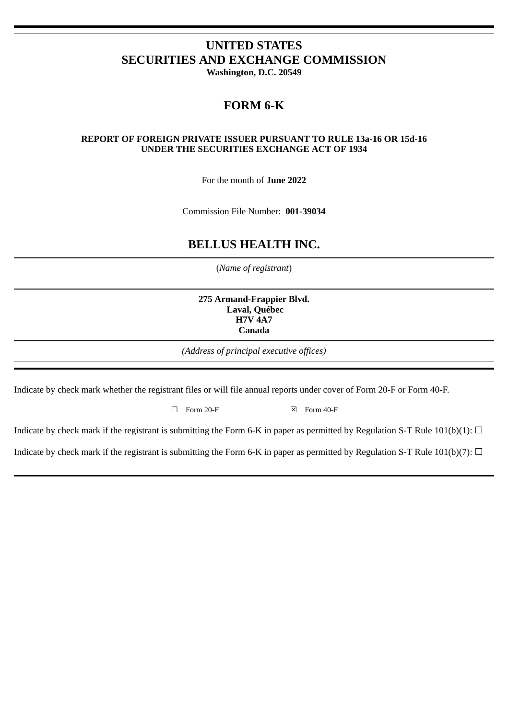# **UNITED STATES SECURITIES AND EXCHANGE COMMISSION**

**Washington, D.C. 20549**

# **FORM 6-K**

#### **REPORT OF FOREIGN PRIVATE ISSUER PURSUANT TO RULE 13a-16 OR 15d-16 UNDER THE SECURITIES EXCHANGE ACT OF 1934**

For the month of **June 2022**

Commission File Number: **001-39034**

## **BELLUS HEALTH INC.**

(*Name of registrant*)

**275 Armand-Frappier Blvd. Laval, Québec H7V 4A7 Canada**

*(Address of principal executive offices)*

Indicate by check mark whether the registrant files or will file annual reports under cover of Form 20-F or Form 40-F.

 $\Box$  Form 20-F  $\boxtimes$  Form 40-F

Indicate by check mark if the registrant is submitting the Form 6-K in paper as permitted by Regulation S-T Rule 101(b)(1):  $\Box$ 

Indicate by check mark if the registrant is submitting the Form 6-K in paper as permitted by Regulation S-T Rule 101(b)(7):  $\Box$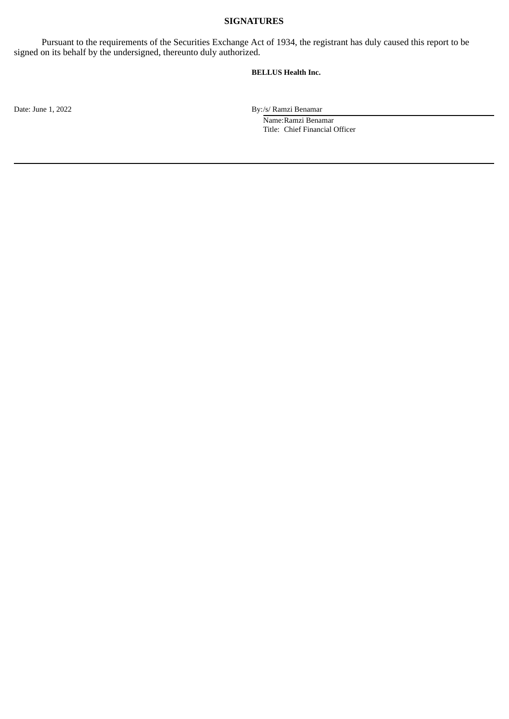#### **SIGNATURES**

Pursuant to the requirements of the Securities Exchange Act of 1934, the registrant has duly caused this report to be signed on its behalf by the undersigned, thereunto duly authorized.

#### **BELLUS Health Inc.**

Date: June 1, 2022 By:/s/ Ramzi Benamar

Name:Ramzi Benamar Title: Chief Financial Officer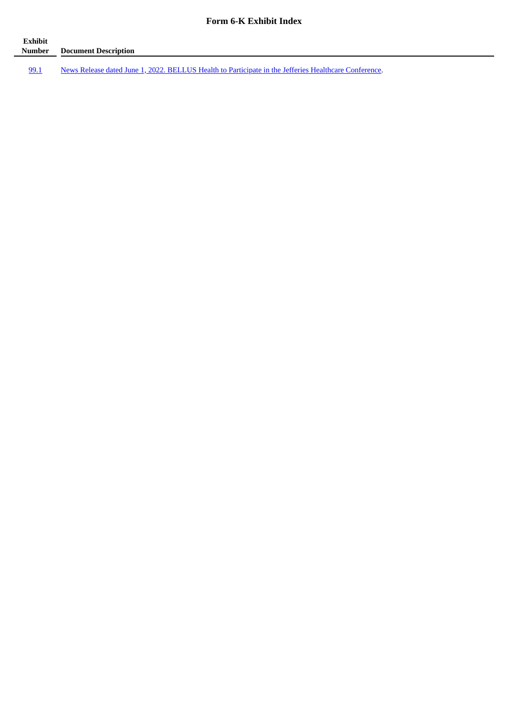#### **Form 6-K Exhibit Index**

| Exhibit<br>Number | <b>Document Description</b>                                                                           |
|-------------------|-------------------------------------------------------------------------------------------------------|
| 99.1              | News Release dated June 1, 2022. BELLUS Health to Participate in the Jefferies Healthcare Conference. |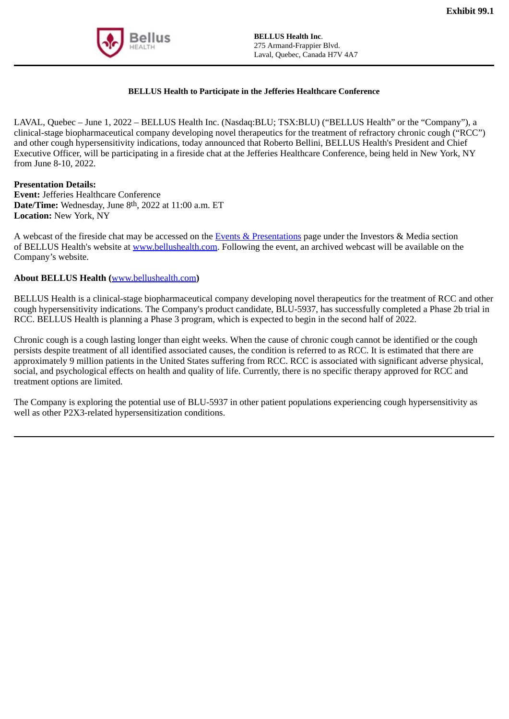<span id="page-3-0"></span>

### **BELLUS Health to Participate in the Jefferies Healthcare Conference**

LAVAL, Quebec – June 1, 2022 – BELLUS Health Inc. (Nasdaq:BLU; TSX:BLU) ("BELLUS Health" or the "Company"), a clinical-stage biopharmaceutical company developing novel therapeutics for the treatment of refractory chronic cough ("RCC") and other cough hypersensitivity indications, today announced that Roberto Bellini, BELLUS Health's President and Chief Executive Officer, will be participating in a fireside chat at the Jefferies Healthcare Conference, being held in New York, NY from June 8-10, 2022.

#### **Presentation Details:**

**Event:** Jefferies Healthcare Conference **Date/Time:** Wednesday, June 8th, 2022 at 11:00 a.m. ET **Location:** New York, NY

A webcast of the fireside chat may be accessed on the Events & Presentations page under the Investors & Media section of BELLUS Health's website at www.bellushealth.com. Following the event, an archived webcast will be available on the Company's website.

#### **About BELLUS Health (**www.bellushealth.com**)**

BELLUS Health is a clinical-stage biopharmaceutical company developing novel therapeutics for the treatment of RCC and other cough hypersensitivity indications. The Company's product candidate, BLU-5937, has successfully completed a Phase 2b trial in RCC. BELLUS Health is planning a Phase 3 program, which is expected to begin in the second half of 2022.

Chronic cough is a cough lasting longer than eight weeks. When the cause of chronic cough cannot be identified or the cough persists despite treatment of all identified associated causes, the condition is referred to as RCC. It is estimated that there are approximately 9 million patients in the United States suffering from RCC. RCC is associated with significant adverse physical, social, and psychological effects on health and quality of life. Currently, there is no specific therapy approved for RCC and treatment options are limited.

The Company is exploring the potential use of BLU-5937 in other patient populations experiencing cough hypersensitivity as well as other P2X3-related hypersensitization conditions.